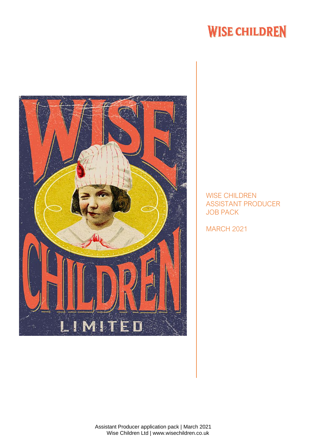## **WISE CHILDREN**



WISE CHILDREN ASSISTANT PRODUCER JOB PACK

MARCH 2021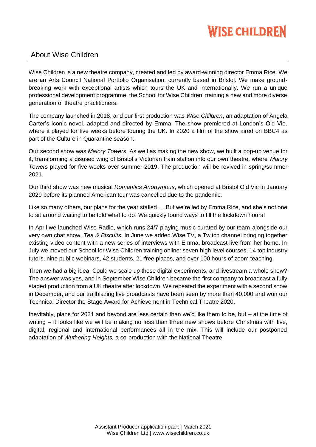# **WISE CHILDREN**

### About Wise Children

Wise Children is a new theatre company, created and led by award-winning director Emma Rice. We are an Arts Council National Portfolio Organisation, currently based in Bristol. We make groundbreaking work with exceptional artists which tours the UK and internationally. We run a unique professional development programme, the School for Wise Children, training a new and more diverse generation of theatre practitioners.

The company launched in 2018, and our first production was *Wise Children*, an adaptation of Angela Carter's iconic novel, adapted and directed by Emma. The show premiered at London's Old Vic, where it played for five weeks before touring the UK. In 2020 a film of the show aired on BBC4 as part of the Culture in Quarantine season.

Our second show was *Malory Towers*. As well as making the new show, we built a pop-up venue for it, transforming a disused wing of Bristol's Victorian train station into our own theatre, where *Malory Towers* played for five weeks over summer 2019. The production will be revived in spring/summer 2021.

Our third show was new musical *Romantics Anonymous*, which opened at Bristol Old Vic in January 2020 before its planned American tour was cancelled due to the pandemic.

Like so many others, our plans for the year stalled…. But we're led by Emma Rice, and she's not one to sit around waiting to be told what to do. We quickly found ways to fill the lockdown hours!

In April we launched Wise Radio, which runs 24/7 playing music curated by our team alongside our very own chat show, *Tea & Biscuits.* In June we added Wise TV, a Twitch channel bringing together existing video content with a new series of interviews with Emma, broadcast live from her home. In July we moved our School for Wise Children training online: seven high level courses, 14 top industry tutors, nine public webinars, 42 students, 21 free places, and over 100 hours of zoom teaching.

Then we had a big idea. Could we scale up these digital experiments, and livestream a whole show? The answer was yes, and in September Wise Children became the first company to broadcast a fully staged production from a UK theatre after lockdown. We repeated the experiment with a second show in December, and our trailblazing live broadcasts have been seen by more than 40,000 and won our Technical Director the Stage Award for Achievement in Technical Theatre 2020.

Inevitably, plans for 2021 and beyond are less certain than we'd like them to be, but – at the time of writing – it looks like we will be making no less than three new shows before Christmas with live, digital, regional and international performances all in the mix. This will include our postponed adaptation of *Wuthering Heights,* a co-production with the National Theatre.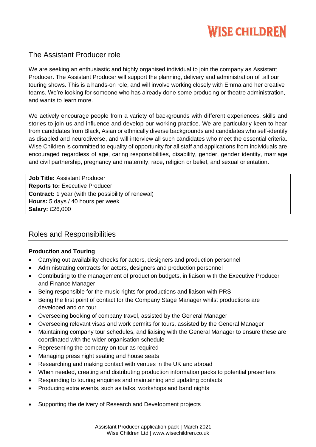# **WISE CHILDREN**

## The Assistant Producer role

We are seeking an enthusiastic and highly organised individual to join the company as Assistant Producer. The Assistant Producer will support the planning, delivery and administration of tall our touring shows. This is a hands-on role, and will involve working closely with Emma and her creative teams. We're looking for someone who has already done some producing or theatre administration, and wants to learn more.

We actively encourage people from a variety of backgrounds with different experiences, skills and stories to join us and influence and develop our working practice. We are particularly keen to hear from candidates from Black, Asian or ethnically diverse backgrounds and candidates who self-identify as disabled and neurodiverse, and will interview all such candidates who meet the essential criteria. Wise Children is committed to equality of opportunity for all staff and applications from individuals are encouraged regardless of age, caring responsibilities, disability, gender, gender identity, marriage and civil partnership, pregnancy and maternity, race, religion or belief, and sexual orientation.

**Job Title:** Assistant Producer **Reports to:** Executive Producer **Contract:** 1 year (with the possibility of renewal) **Hours:** 5 days / 40 hours per week **Salary:** £26,000

## Roles and Responsibilities

#### **Production and Touring**

- Carrying out availability checks for actors, designers and production personnel
- Administrating contracts for actors, designers and production personnel
- Contributing to the management of production budgets, in liaison with the Executive Producer and Finance Manager
- Being responsible for the music rights for productions and liaison with PRS
- Being the first point of contact for the Company Stage Manager whilst productions are developed and on tour
- Overseeing booking of company travel, assisted by the General Manager
- Overseeing relevant visas and work permits for tours, assisted by the General Manager
- Maintaining company tour schedules, and liaising with the General Manager to ensure these are coordinated with the wider organisation schedule
- Representing the company on tour as required
- Managing press night seating and house seats
- Researching and making contact with venues in the UK and abroad
- When needed, creating and distributing production information packs to potential presenters
- Responding to touring enquiries and maintaining and updating contacts
- Producing extra events, such as talks, workshops and band nights
- Supporting the delivery of Research and Development projects